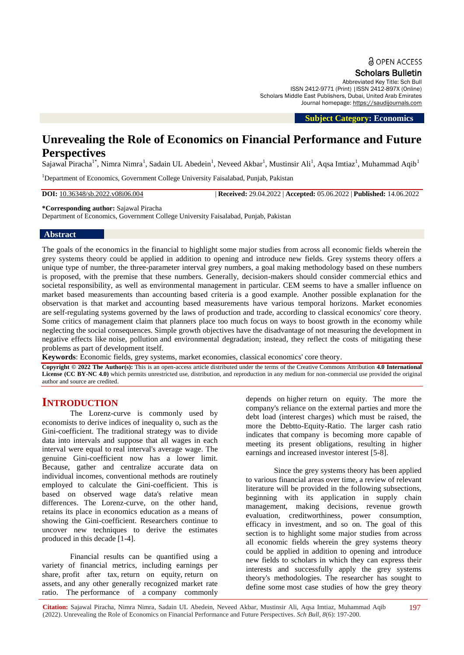Scholars Bulletin

Abbreviated Key Title: Sch Bull ISSN 2412-9771 (Print) |ISSN 2412-897X (Online) Scholars Middle East Publishers, Dubai, United Arab Emirates Journal homepage: [https://saudijournals.com](https://saudijournals.com/sb)

 **Subject Category: Economics**

# **Unrevealing the Role of Economics on Financial Performance and Future Perspectives**

Sajawal Piracha<sup>1\*</sup>, Nimra Nimra<sup>1</sup>, Sadain UL Abedein<sup>1</sup>, Neveed Akbar<sup>1</sup>, Mustinsir Ali<sup>1</sup>, Aqsa Imtiaz<sup>1</sup>, Muhammad Aqib<sup>1</sup>

<sup>1</sup>Department of Economics, Government College University Faisalabad, Punjab, Pakistan

**DOI:** 10.36348/sb.2022.v08i06.004 | **Received:** 29.04.2022 | **Accepted:** 05.06.2022 | **Published:** 14.06.2022

**\*Corresponding author:** Sajawal Piracha

Department of Economics, Government College University Faisalabad, Punjab, Pakistan

# **Abstract**

The goals of the economics in the financial to highlight some major studies from across all economic fields wherein the grey systems theory could be applied in addition to opening and introduce new fields. Grey systems theory offers a unique type of number, the three-parameter interval grey numbers, a goal making methodology based on these numbers is proposed, with the premise that these numbers. Generally, decision-makers should consider commercial ethics and societal responsibility, as well as environmental management in particular. CEM seems to have a smaller influence on market based measurements than accounting based criteria is a good example. Another possible explanation for the observation is that market and accounting based measurements have various temporal horizons. Market economies are self-regulating systems governed by the laws of production and trade, according to classical economics' core theory. Some critics of management claim that planners place too much focus on ways to boost growth in the economy while neglecting the social consequences. Simple growth objectives have the disadvantage of not measuring the development in negative effects like noise, pollution and environmental degradation; instead, they reflect the costs of mitigating these problems as part of development itself.

**Keywords**: Economic fields, grey systems, market economies, classical economics' core theory.

**Copyright © 2022 The Author(s):** This is an open-access article distributed under the terms of the Creative Commons Attribution **4.0 International**  License (CC BY-NC 4.0) which permits unrestricted use, distribution, and reproduction in any medium for non-commercial use provided the original author and source are credited.

# **INTRODUCTION**

The Lorenz-curve is commonly used by economists to derive indices of inequality o, such as the Gini-coefficient. The traditional strategy was to divide data into intervals and suppose that all wages in each interval were equal to real interval's average wage. The genuine Gini-coefficient now has a lower limit. Because, gather and centralize accurate data on individual incomes, conventional methods are routinely employed to calculate the Gini-coefficient. This is based on observed wage data's relative mean differences. The Lorenz-curve, on the other hand, retains its place in economics education as a means of showing the Gini-coefficient. Researchers continue to uncover new techniques to derive the estimates produced in this decade [1-4].

Financial results can be quantified using a variety of financial metrics, including earnings per share, profit after tax, return on equity, return on assets, and any other generally recognized market rate ratio. The performance of a company commonly

depends on higher return on equity. The more the company's reliance on the external parties and more the debt load (interest charges) which must be raised, the more the Debtto-Equity-Ratio. The larger cash ratio indicates that company is becoming more capable of meeting its present obligations, resulting in higher earnings and increased investor interest [5-8].

Since the grey systems theory has been applied to various financial areas over time, a review of relevant literature will be provided in the following subsections, beginning with its application in supply chain management, making decisions, revenue growth evaluation, creditworthiness, power consumption, efficacy in investment, and so on. The goal of this section is to highlight some major studies from across all economic fields wherein the grey systems theory could be applied in addition to opening and introduce new fields to scholars in which they can express their interests and successfully apply the grey systems theory's methodologies. The researcher has sought to define some most case studies of how the grey theory

197

**Citation:** Sajawal Piracha, Nimra Nimra, Sadain UL Abedein, Neveed Akbar, Mustinsir Ali, Aqsa Imtiaz, Muhammad Aqib (2022). Unrevealing the Role of Economics on Financial Performance and Future Perspectives. *Sch Bull, 8*(6): 197-200.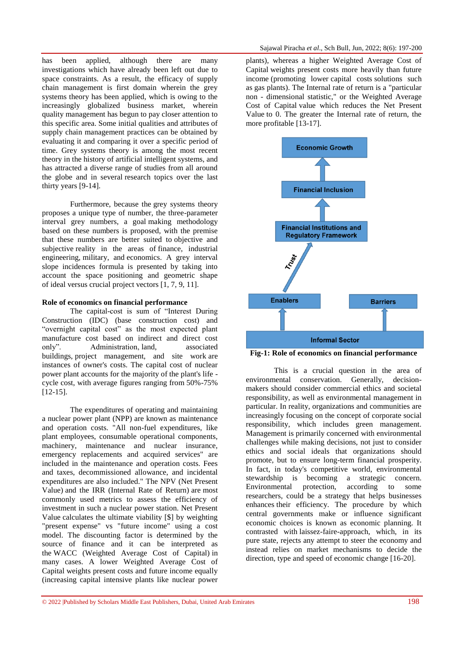has been applied, although there are many investigations which have already been left out due to space constraints. As a result, the efficacy of supply chain management is first domain wherein the grey systems theory has been applied, which is owing to the increasingly globalized business market, wherein quality management has begun to pay closer attention to this specific area. Some initial qualities and attributes of supply chain management practices can be obtained by evaluating it and comparing it over a specific period of time. Grey systems theory is among the most recent theory in the history of artificial intelligent systems, and has attracted a diverse range of studies from all around the globe and in several research topics over the last thirty years [9-14].

Furthermore, because the grey systems theory proposes a unique type of number, the three-parameter interval grey numbers, a goal making methodology based on these numbers is proposed, with the premise that these numbers are better suited to objective and subjective reality in the areas of finance, industrial engineering, military, and economics. A grey interval slope incidences formula is presented by taking into account the space positioning and geometric shape of ideal versus crucial project vectors [1, 7, 9, 11].

#### **Role of economics on financial performance**

The capital-cost is sum of "Interest During Construction (IDC) (base construction cost) and "overnight capital cost" as the most expected plant manufacture cost based on indirect and direct cost only". Administration, land, associated buildings, project management, and site work are instances of owner's costs. The capital cost of nuclear power plant accounts for the majority of the plant's life cycle cost, with average figures ranging from 50%-75%  $[12-15]$ .

The expenditures of operating and maintaining a nuclear power plant (NPP) are known as maintenance and operation costs. "All non-fuel expenditures, like plant employees, consumable operational components, machinery, maintenance and nuclear insurance, emergency replacements and acquired services" are included in the maintenance and operation costs. Fees and taxes, decommissioned allowance, and incidental expenditures are also included." The NPV (Net Present Value) and the IRR (Internal Rate of Return) are most commonly used metrics to assess the efficiency of investment in such a nuclear power station. Net Present Value calculates the ultimate viability [\$] by weighting "present expense" vs "future income" using a cost model. The discounting factor is determined by the source of finance and it can be interpreted as the WACC (Weighted Average Cost of Capital) in many cases. A lower Weighted Average Cost of Capital weights present costs and future income equally (increasing capital intensive plants like nuclear power

plants), whereas a higher Weighted Average Cost of Capital weights present costs more heavily than future income (promoting lower capital costs solutions such as gas plants). The Internal rate of return is a "particular non - dimensional statistic," or the Weighted Average Cost of Capital value which reduces the Net Present Value to 0. The greater the Internal rate of return, the more profitable [13-17].



**Fig-1: Role of economics on financial performance**

This is a crucial question in the area of environmental conservation. Generally, decisionmakers should consider commercial ethics and societal responsibility, as well as environmental management in particular. In reality, organizations and communities are increasingly focusing on the concept of corporate social responsibility, which includes green management. Management is primarily concerned with environmental challenges while making decisions, not just to consider ethics and social ideals that organizations should promote, but to ensure long-term financial prosperity. In fact, in today's competitive world, environmental stewardship is becoming a strategic concern. Environmental protection, according to some researchers, could be a strategy that helps businesses enhances their efficiency. The procedure by which central governments make or influence significant economic choices is known as economic planning. It contrasted with laissez-faire-approach, which, in its pure state, rejects any attempt to steer the economy and instead relies on market mechanisms to decide the direction, type and speed of economic change [16-20].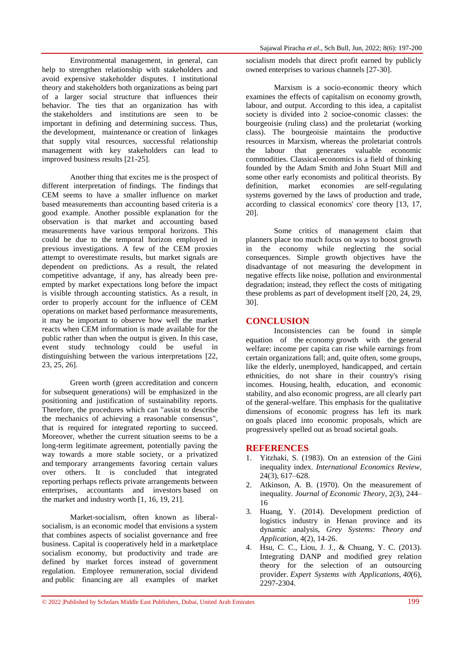Environmental management, in general, can help to strengthen relationship with stakeholders and avoid expensive stakeholder disputes. I institutional theory and stakeholders both organizations as being part of a larger social structure that influences their behavior. The ties that an organization has with the stakeholders and institutions are seen to be important in defining and determining success. Thus, the development, maintenance or creation of linkages that supply vital resources, successful relationship management with key stakeholders can lead to improved business results [21-25].

Another thing that excites me is the prospect of different interpretation of findings. The findings that CEM seems to have a smaller influence on market based measurements than accounting based criteria is a good example. Another possible explanation for the observation is that market and accounting based measurements have various temporal horizons. This could be due to the temporal horizon employed in previous investigations. A few of the CEM proxies attempt to overestimate results, but market signals are dependent on predictions. As a result, the related competitive advantage, if any, has already been preempted by market expectations long before the impact is visible through accounting statistics. As a result, in order to properly account for the influence of CEM operations on market based performance measurements, it may be important to observe how well the market reacts when CEM information is made available for the public rather than when the output is given. In this case, event study technology could be useful in distinguishing between the various interpretations [22, 23, 25, 26].

Green worth (green accreditation and concern for subsequent generations) will be emphasized in the positioning and justification of sustainability reports. Therefore, the procedures which can "assist to describe the mechanics of achieving a reasonable consensus", that is required for integrated reporting to succeed. Moreover, whether the current situation seems to be a long-term legitimate agreement, potentially paving the way towards a more stable society, or a privatized and temporary arrangements favoring certain values over others. It is concluded that integrated reporting perhaps reflects private arrangements between enterprises, accountants and investors based on the market and industry worth [1, 16, 19, 21].

Market-socialism, often known as liberalsocialism, is an economic model that envisions a system that combines aspects of socialist governance and free business. Capital is cooperatively held in a marketplace socialism economy, but productivity and trade are defined by market forces instead of government regulation. Employee remuneration, social dividend and public financing are all examples of market socialism models that direct profit earned by publicly owned enterprises to various channels [27-30].

Marxism is a socio-economic theory which examines the effects of capitalism on economy growth, labour, and output. According to this idea, a capitalist society is divided into 2 socioe-conomic classes: the bourgeoisie (ruling class) and the proletariat (working class). The bourgeoisie maintains the productive resources in Marxism, whereas the proletariat controls the labour that generates valuable economic commodities. Classical-economics is a field of thinking founded by the Adam Smith and John Stuart Mill and some other early economists and political theorists. By definition, market economies are self-regulating systems governed by the laws of production and trade, according to classical economics' core theory [13, 17, 20].

Some critics of management claim that planners place too much focus on ways to boost growth in the economy while neglecting the social consequences. Simple growth objectives have the disadvantage of not measuring the development in negative effects like noise, pollution and environmental degradation; instead, they reflect the costs of mitigating these problems as part of development itself [20, 24, 29, 30].

# **CONCLUSION**

Inconsistencies can be found in simple equation of the economy growth with the general welfare: income per capita can rise while earnings from certain organizations fall; and, quite often, some groups, like the elderly, unemployed, handicapped, and certain ethnicities, do not share in their country's rising incomes. Housing, health, education, and economic stability, and also economic progress, are all clearly part of the general-welfare. This emphasis for the qualitative dimensions of economic progress has left its mark on goals placed into economic proposals, which are progressively spelled out as broad societal goals.

## **REFERENCES**

- 1. Yitzhaki, S. (1983). On an extension of the Gini inequality index. *International Economics Review*, 24(3), 617–628.
- 2. Atkinson, A. B. (1970). On the measurement of inequality. *Journal of Economic Theory*, 2(3), 244– 16
- 3. Huang, Y. (2014). Development prediction of logistics industry in Henan province and its dynamic analysis, *Grey Systems: Theory and Application*, 4(2), 14-26.
- 4. Hsu, C. C., Liou, J. J., & Chuang, Y. C. (2013). Integrating DANP and modified grey relation theory for the selection of an outsourcing provider. *Expert Systems with Applications*, *40*(6), 2297-2304.